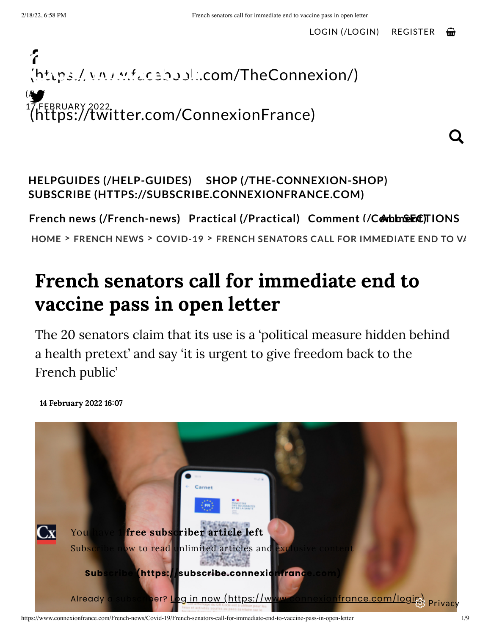Q.



### **HELPGUIDES [\(/HELP-GUIDES\)](https://www.connexionfrance.com/Help-Guides) SHOP [\(/THE-CONNEXION-SHOP\)](https://www.connexionfrance.com/The-Connexion-Shop) SUBSCRIBE [\(HTTPS://SUBSCRIBE.CONNEXIONFRANCE.COM\)](https://subscribe.connexionfrance.com/)**

**French news [\(/French-news\)](https://www.connexionfrance.com/French-news) Practical [\(/Practical\)](https://www.connexionfrance.com/Practical) Comment [\(/CoAmLLmSeEnCt\)T](https://www.connexionfrance.com/Comment)IONS**

**[HOME](https://www.connexionfrance.com/) > [FRENCH](https://www.connexionfrance.com/French-news) NEWS > [COVID-19](https://www.connexionfrance.com/French-news/Covid-19) > FRENCH SENATORS CALL FOR IMMEDIATE END TO VA**

# French senators call for immediate end to vaccine pass in open letter

The 20 senators claim that its use is a 'political measure hidden behind a health pretext' and say 'it is urgent to give freedom back to the French public'

You have 1 free subscriber article left Subscribe now to read unlimited articles and Subscribe (https://subscribe.connexion Already a subscriber? Log in now (https://www.connexionfrance.com/logite) Privacy

14 February 2022 16:07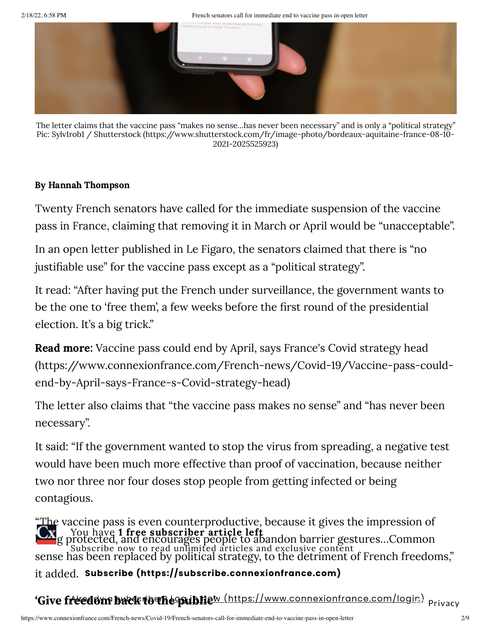2/18/22, 6:58 PM French senators call for immediate end to vaccine pass in open letter



The letter claims that the vaccine pass "makes no sense…has never been necessary" and is only a "political strategy" Pic: Sylv1rob1 / Shutterstock [\(https://www.shutterstock.com/fr/image-photo/bordeaux-aquitaine-france-08-10-](https://www.shutterstock.com/fr/image-photo/bordeaux-aquitaine-france-08-10-2021-2025525923) 2021-2025525923)

#### By Hannah Thompson

Twenty French senators have called for the immediate suspension of the vaccine pass in France, claiming that removing it in March or April would be "unacceptable".

In an open letter published in Le Figaro, the senators claimed that there is "no justifiable use" for the vaccine pass except as a "political strategy".

It read: "After having put the French under surveillance, the government wants to be the one to 'free them', a few weeks before the first round of the presidential election. It's a big trick."

Read more: Vaccine pass could end by April, says France's Covid strategy head [\(https://www.connexionfrance.com/French-news/Covid-19/Vaccine-pass-could](https://www.connexionfrance.com/French-news/Covid-19/Vaccine-pass-could-end-by-April-says-France-s-Covid-strategy-head)end-by-April-says-France-s-Covid-strategy-head)

The letter also claims that "the vaccine pass makes no sense" and "has never been necessary".

It said: "If the government wanted to stop the virus from spreading, a negative test would have been much more effective than proof of vaccination, because neither two nor three nor four doses stop people from getting infected or being contagious.

"The vaccine pass is even counterproductive, because it gives the impression of **the age protected, and encourages people to abandon barrier gestures...Common** sense has been replaced by political strategy, to the detriment of French freedoms," it added. **Subscribe [\(https://subscribe.connexionfrance.com\)](https://subscribe.connexionfrance.com/)** You have 1 free subscriber article left Subscribe now to read unlimited articles and exclusive content

### **'Give freedom back to the public'** Already <sup>a</sup> subscriber? Log in now [\(https://www.connexionfrance.com/login\)](https://www.connexionfrance.com/login) Privacy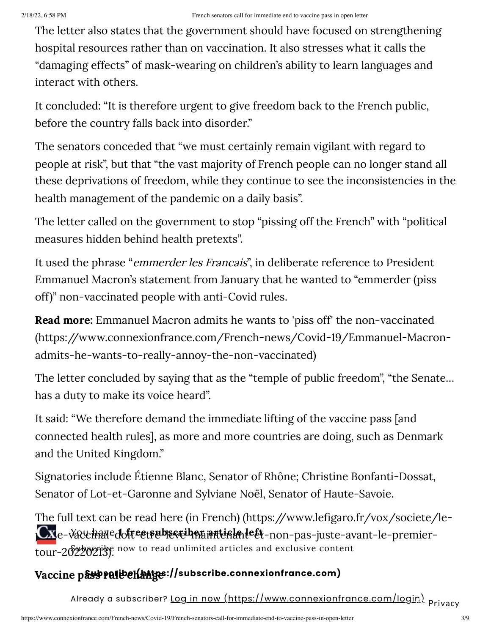The letter also states that the government should have focused on strengthening hospital resources rather than on vaccination. It also stresses what it calls the "damaging effects" of mask-wearing on children's ability to learn languages and interact with others.

It concluded: "It is therefore urgent to give freedom back to the French public, before the country falls back into disorder."

The senators conceded that "we must certainly remain vigilant with regard to people at risk", but that "the vast majority of French people can no longer stand all these deprivations of freedom, while they continue to see the inconsistencies in the health management of the pandemic on a daily basis".

The letter called on the government to stop "pissing off the French" with "political measures hidden behind health pretexts".

It used the phrase "emmerder les Francais", in deliberate reference to President Emmanuel Macron's statement from January that he wanted to "emmerder (piss off)" non-vaccinated people with anti-Covid rules.

Read more: Emmanuel Macron admits he wants to 'piss off' the non-vaccinated [\(https://www.connexionfrance.com/French-news/Covid-19/Emmanuel-Macron](https://www.connexionfrance.com/French-news/Covid-19/Emmanuel-Macron-admits-he-wants-to-really-annoy-the-non-vaccinated)admits-he-wants-to-really-annoy-the-non-vaccinated)

The letter concluded by saying that as the "temple of public freedom", "the Senate… has a duty to make its voice heard".

It said: "We therefore demand the immediate lifting of the vaccine pass [and connected health rules], as more and more countries are doing, such as Denmark and the United Kingdom."

Signatories include Étienne Blanc, Senator of Rhône; Christine Bonfanti-Dossat, Senator of Lot-et-Garonne and Sylviane Noël, Senator of Haute-Savoie.

The full text can be read here (in French) (https://www.lefigaro.fr/vox/societe/le-Cx<sub>e-Va</sub>u have dofte et subscriben article de le te-non-pas-juste-avant-le-premiertour-20220213). Subscribe now to read unlimited articles and exclusive content

### **Vaccine pass rations [\(https://subscribe.connexionfrance.com\)](https://subscribe.connexionfrance.com/)**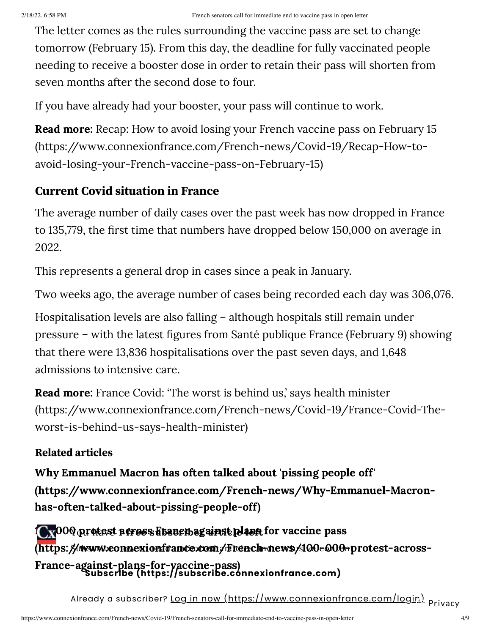The letter comes as the rules surrounding the vaccine pass are set to change tomorrow (February 15). From this day, the deadline for fully vaccinated people needing to receive a booster dose in order to retain their pass will shorten from seven months after the second dose to four.

If you have already had your booster, your pass will continue to work.

**Read more:** Recap: How to avoid losing your French vaccine pass on February 15 [\(https://www.connexionfrance.com/French-news/Covid-19/Recap-How-to](https://www.connexionfrance.com/French-news/Covid-19/Recap-How-to-avoid-losing-your-French-vaccine-pass-on-February-15)avoid-losing-your-French-vaccine-pass-on-February-15)

### **Current Covid situation in France**

The average number of daily cases over the past week has now dropped in France to 135,779, the first time that numbers have dropped below 150,000 on average in 2022.

This represents a general drop in cases since a peak in January.

Two weeks ago, the average number of cases being recorded each day was 306,076.

Hospitalisation levels are also falling – although hospitals still remain under pressure – with the latest figures from Santé publique France (February 9) showing that there were 13,836 hospitalisations over the past seven days, and 1,648 admissions to intensive care.

**Read more:** France Covid: 'The worst is behind us,' says health minister [\(https://www.connexionfrance.com/French-news/Covid-19/France-Covid-The](https://www.connexionfrance.com/French-news/Covid-19/France-Covid-The-worst-is-behind-us-says-health-minister)worst-is-behind-us-says-health-minister)

### **Related articles**

Why Emmanuel Macron has often talked about 'pissing people off' [\(https://www.connexionfrance.com/French-news/Why-Emmanuel-Macron](https://www.connexionfrance.com/French-news/Why-Emmanuel-Macron-has-often-talked-about-pissing-people-off)has-often-talked-about-pissing-people-off)

**Ox**000 protest neress Francuagainst plans for vaccine pass (https: //www.iconnexionfrance.com/French-news/100-000-protest-across-France-against-plans-for-vaccine-pass) **Subscribe [\(https://subscribe.connexionfrance.com\)](https://subscribe.connexionfrance.com/)**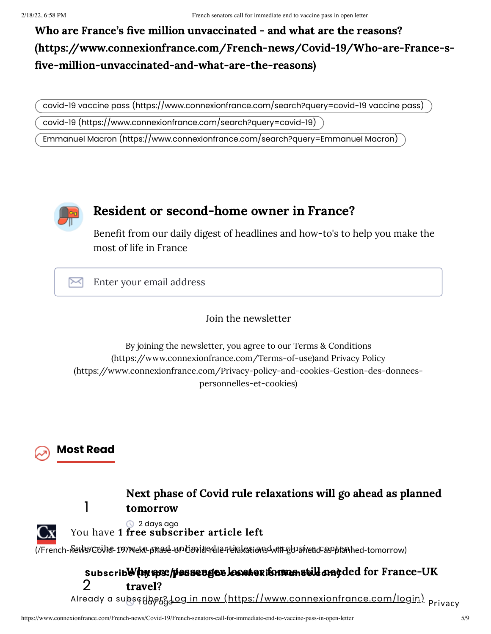### Who are France's five million unvaccinated - and what are the reasons? [\(https://www.connexionfrance.com/French-news/Covid-19/Who-are-France-s](https://www.connexionfrance.com/French-news/Covid-19/Who-are-France-s-five-million-unvaccinated-and-what-are-the-reasons) five-million-unvaccinated-and-what-are-the-reasons)

covid-19 vaccine pass [\(https://www.connexionfrance.com/search?query=covid-19](https://www.connexionfrance.com/search?query=covid-19%20vaccine%20pass) vaccine pass)

covid-19 [\(https://www.connexionfrance.com/search?query=covid-19\)](https://www.connexionfrance.com/search?query=covid-19)

Emmanuel Macron [\(https://www.connexionfrance.com/search?query=Emmanuel](https://www.connexionfrance.com/search?query=Emmanuel%20Macron) Macron)



### Resident or second-home owner in France?

Benefit from our daily digest of headlines and how-to's to help you make the most of life in France

⊠ Enter your email address

Join the newsletter

By joining the newsletter, you agree to our Terms & Conditions [\(https://www.connexionfrance.com/Terms-of-use\)and](https://www.connexionfrance.com/Terms-of-use) Privacy Policy [\(https://www.connexionfrance.com/Privacy-policy-and-cookies-Gestion-des-donnees](https://www.connexionfrance.com/Privacy-policy-and-cookies-Gestion-des-donnees-personnelles-et-cookies)personnelles-et-cookies)



1





<sup>2</sup> days ago You have 1 free subscriber article left

(/French-n&Ws/C6We-199/NekP-phase-un/covid-adle-relakations-will-gh-ahead-as-planned-tomorrow)

#### 2 Why are passenger locator forms still needed for France-UK **Subscribe [\(https://subscribe.connexionfrance.com\)](https://www.connexionfrance.com/French-news/Why-are-passenger-locator-forms-still-needed-for-France-UK-travel)** travel?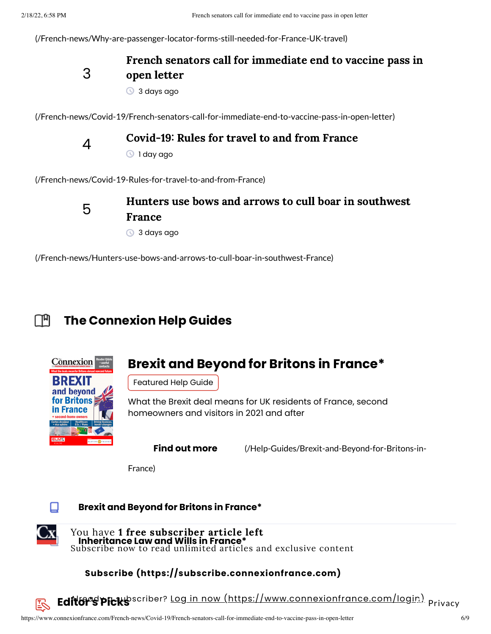[\(/French-news/Why-are-passenger-locator-forms-still-needed-for-France-UK-travel\)](https://www.connexionfrance.com/French-news/Why-are-passenger-locator-forms-still-needed-for-France-UK-travel)

3

### French senators call for immediate end to vaccine pass in open letter

**3** days ago

[\(/French-news/Covid-19/French-senators-call-for-immediate-end-to-vaccine-pass-in-open-letter\)](https://www.connexionfrance.com/French-news/Covid-19/French-senators-call-for-immediate-end-to-vaccine-pass-in-open-letter)



#### Covid-19: Rules for travel to and from France

1 day ago

[\(/French-news/Covid-19-Rules-for-travel-to-and-from-France\)](https://www.connexionfrance.com/French-news/Covid-19-Rules-for-travel-to-and-from-France)



### Hunters use bows and arrows to cull boar in southwest France

3 days ago

[\(/French-news/Hunters-use-bows-and-arrows-to-cull-boar-in-southwest-France\)](https://www.connexionfrance.com/French-news/Hunters-use-bows-and-arrows-to-cull-boar-in-southwest-France)

#### **The Connexion Help Guides** Г™



### **Brexit and Beyond for Britons in France\***

Featured Help Guide

What the Brexit deal means for UK residents of France, second homeowners and visitors in 2021 and after

**Find out more** [\(/Help-Guides/Brexit-and-Beyond-for-Britons-in-](https://www.connexionfrance.com/Help-Guides/Brexit-and-Beyond-for-Britons-in-France)

France)



**Brexit and Beyond for Britons in France\***



**Inheritance Law and Wills in France\*** You have 1 free subscriber article left Subscribe now to read unlimited articles and exclusive content

#### **Subscribe [\(https://subscribe.connexionfrance.com\)](https://subscribe.connexionfrance.com/)**

**Editor's Picks** scriber? Lo<u>g in now [\(https://www.connexionfrance.com/login\)](https://www.connexionfrance.com/login)</u> <sub>Privacy</sub>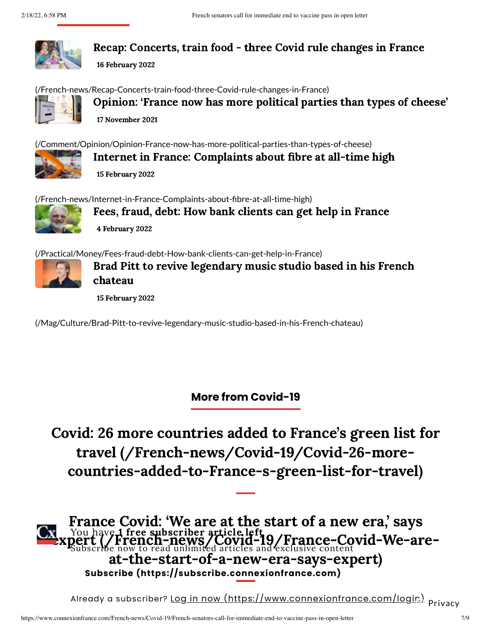

Recap: Concerts, train food - three Covid rule changes in France

16 February 2022

[\(/French-news/Recap-Concerts-train-food-three-Covid-rule-changes-in-France\)](https://www.connexionfrance.com/French-news/Recap-Concerts-train-food-three-Covid-rule-changes-in-France)



Opinion: 'France now has more political parties than types of cheese' 17 November 2021

[\(/Comment/Opinion/Opinion-France-now-has-more-political-parties-than-types-of-cheese\)](https://www.connexionfrance.com/Comment/Opinion/Opinion-France-now-has-more-political-parties-than-types-of-cheese)



Internet in France: Complaints about fibre at all-time high 15 February 2022

[\(/French-news/Internet-in-France-Complaints-about-fibre-at-all-time-high\)](https://www.connexionfrance.com/French-news/Internet-in-France-Complaints-about-fibre-at-all-time-high)



Fees, fraud, debt: How bank clients can get help in France 4 February 2022

[\(/Practical/Money/Fees-fraud-debt-How-bank-clients-can-get-help-in-France\)](https://www.connexionfrance.com/Practical/Money/Fees-fraud-debt-How-bank-clients-can-get-help-in-France)



Brad Pitt to revive legendary music studio based in his French chateau

15 February 2022

[\(/Mag/Culture/Brad-Pitt-to-revive-legendary-music-studio-based-in-his-French-chateau\)](https://www.connexionfrance.com/Mag/Culture/Brad-Pitt-to-revive-legendary-music-studio-based-in-his-French-chateau)

### **More from Covid-19**

Covid: 26 more countries added to France's green list for travel (/French-news/Covid-19/Covid-26-more[countries-added-to-France-s-green-list-for-travel\)](https://www.connexionfrance.com/French-news/Covid-19/Covid-26-more-countries-added-to-France-s-green-list-for-travel)

France Covid: 'We are at the start of a new era' savs **Expert [\(/French-news/Covid-19/France-Covid-We-are](https://www.connexionfrance.com/French-news/Covid-19/France-Covid-We-are-at-the-start-of-a-new-era-says-expert)**at-the-start-of-a-new-era-says-expert) Subscribe now to read unlimited articles and exclusive content **Subscribe [\(https://subscribe.connexionfrance.com\)](https://subscribe.connexionfrance.com/)**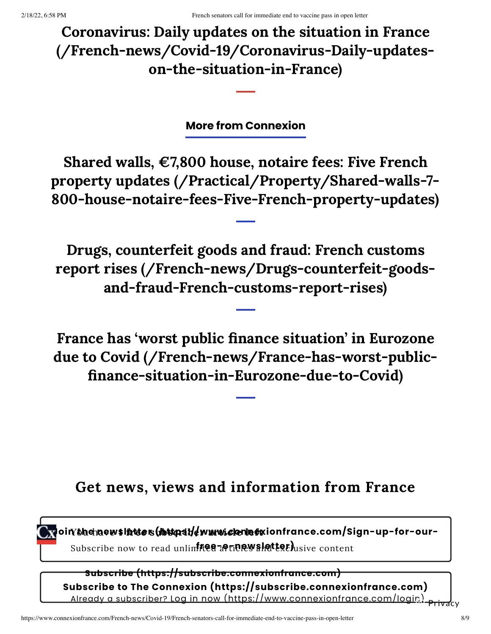Coronavirus: Daily updates on the situation in France [\(/French-news/Covid-19/Coronavirus-Daily-updates](https://www.connexionfrance.com/French-news/Covid-19/Coronavirus-Daily-updates-on-the-situation-in-France)on-the-situation-in-France)

**More from Connexion**

Shared walls,  $\epsilon$ 7,800 house, notaire fees: Five French property updates (/Practical/Property/Shared-walls-7- [800-house-notaire-fees-Five-French-property-updates\)](https://www.connexionfrance.com/Practical/Property/Shared-walls-7-800-house-notaire-fees-Five-French-property-updates)

Drugs, counterfeit goods and fraud: French customs report rises [\(/French-news/Drugs-counterfeit-goods](https://www.connexionfrance.com/French-news/Drugs-counterfeit-goods-and-fraud-French-customs-report-rises)and-fraud-French-customs-report-rises)

France has 'worst public finance situation' in Eurozone due to Covid (/French-news/France-has-worst-public [finance-situation-in-Eurozone-due-to-Covid\)](https://www.connexionfrance.com/French-news/France-has-worst-public-finance-situation-in-Eurozone-due-to-Covid)

## Get news, views and information from France

**Join/bhehaewsl<del>int</del>ers(fhttps://www.clenlefx**ionfrance.com/Sign-up-for-our-Subscribe now to read unlim**itee articrwshetterh**usive content

**Subscribe to The Connexion [\(https://subscribe.connexionfrance.com\)](https://subscribe.connexionfrance.com/) Subscribe [\(https://subscribe.connexionfrance.com\)](https://subscribe.connexionfrance.com/)** Already <sup>a</sup> subscriber? Log in now [\(https://www.connexionfrance.com/login\)](https://www.connexionfrance.com/login) Privacy